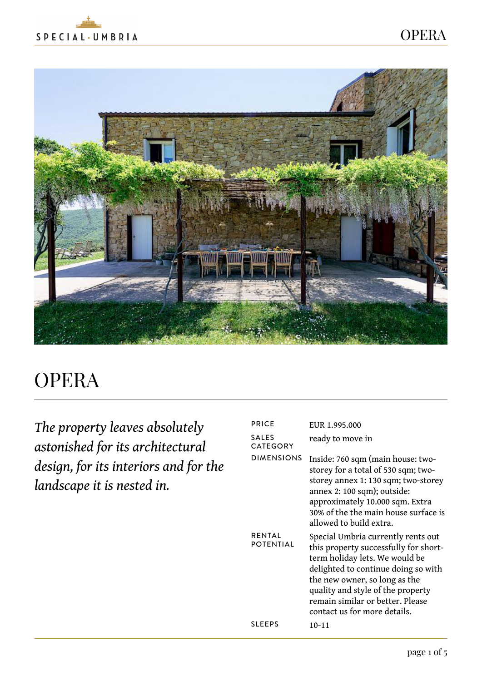



## OPERA

| The property leaves absolutely<br>astonished for its architectural | <b>PRICE</b>                      | EUR 1.995.000                                                                                                                                                                                                                                                                                  |
|--------------------------------------------------------------------|-----------------------------------|------------------------------------------------------------------------------------------------------------------------------------------------------------------------------------------------------------------------------------------------------------------------------------------------|
|                                                                    | <b>SALES</b><br><b>CATEGORY</b>   | ready to move in                                                                                                                                                                                                                                                                               |
| design, for its interiors and for the                              | <b>DIMENSIONS</b>                 | Inside: 760 sqm (main house: two-<br>storey for a total of 530 sqm; two-<br>storey annex 1:130 sqm; two-storey<br>annex 2:100 sqm); outside:<br>approximately 10.000 sqm. Extra<br>30% of the the main house surface is<br>allowed to build extra.                                             |
| landscape it is nested in.                                         |                                   |                                                                                                                                                                                                                                                                                                |
|                                                                    | <b>RENTAL</b><br><b>POTENTIAL</b> | Special Umbria currently rents out<br>this property successfully for short-<br>term holiday lets. We would be<br>delighted to continue doing so with<br>the new owner, so long as the<br>quality and style of the property<br>remain similar or better. Please<br>contact us for more details. |
|                                                                    | <b>SLEEPS</b>                     | $10 - 11$                                                                                                                                                                                                                                                                                      |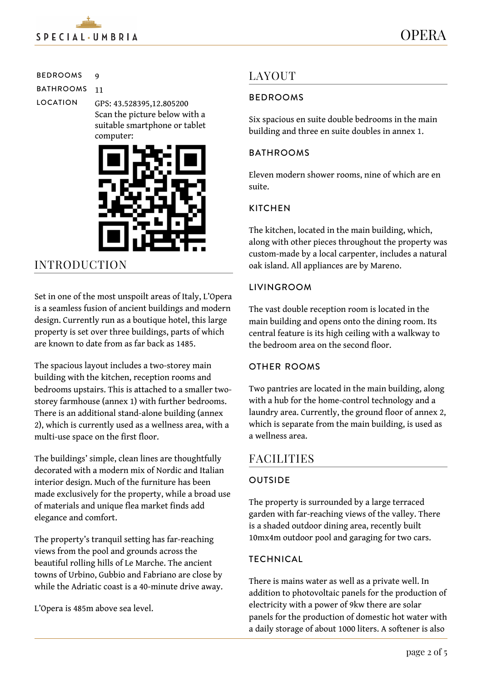

#### BEDROOMS<sub>9</sub>

BATHROOMS 11

LOCATION GPS: 43.528395,12.805200 Scan the picture below with a suitable smartphone or tablet computer:



## INTRODUCTION

Set in one of the most unspoilt areas of Italy, L'Opera is a seamless fusion of ancient buildings and modern design. Currently run as a boutique hotel, this large property is set over three buildings, parts of which are known to date from as far back as 1485.

The spacious layout includes a two-storey main building with the kitchen, reception rooms and bedrooms upstairs. This is attached to a smaller twostorey farmhouse (annex 1) with further bedrooms. There is an additional stand-alone building (annex 2), which is currently used as a wellness area, with a multi-use space on the first floor.

The buildings' simple, clean lines are thoughtfully decorated with a modern mix of Nordic and Italian interior design. Much of the furniture has been made exclusively for the property, while a broad use of materials and unique flea market finds add elegance and comfort.

The property's tranquil setting has far-reaching views from the pool and grounds across the beautiful rolling hills of Le Marche. The ancient towns of Urbino, Gubbio and Fabriano are close by while the Adriatic coast is a 40-minute drive away.

L'Opera is 485m above sea level.

## LAYOUT

#### BEDROOMS

Six spacious en suite double bedrooms in the main building and three en suite doubles in annex 1.

#### **BATHROOMS**

Eleven modern shower rooms, nine of which are en suite.

#### **KITCHEN**

The kitchen, located in the main building, which, along with other pieces throughout the property was custom-made by a local carpenter, includes a natural oak island. All appliances are by Mareno.

#### LIVINGROOM

The vast double reception room is located in the main building and opens onto the dining room. Its central feature is its high ceiling with a walkway to the bedroom area on the second floor.

#### OTHER ROOMS

Two pantries are located in the main building, along with a hub for the home-control technology and a laundry area. Currently, the ground floor of annex 2, which is separate from the main building, is used as a wellness area.

### FACILITIES

#### **OUTSIDE**

The property is surrounded by a large terraced garden with far-reaching views of the valley. There is a shaded outdoor dining area, recently built 10mx4m outdoor pool and garaging for two cars.

#### **TECHNICAL**

There is mains water as well as a private well. In addition to photovoltaic panels for the production of electricity with a power of 9kw there are solar panels for the production of domestic hot water with a daily storage of about 1000 liters. A softener is also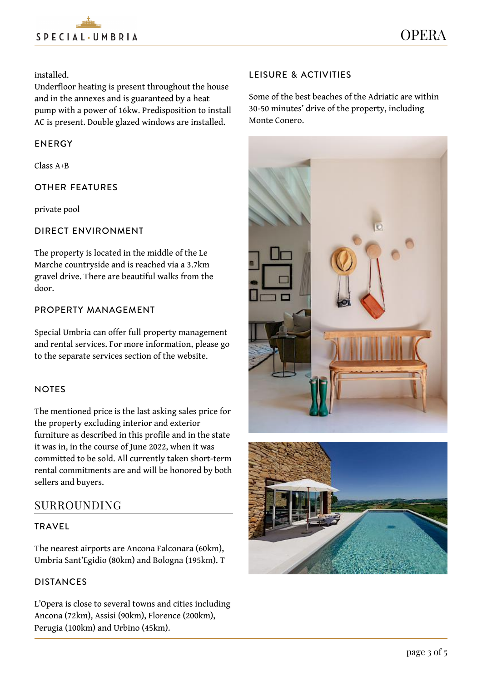

installed.

Underfloor heating is present throughout the house and in the annexes and is guaranteed by a heat pump with a power of 16kw. Predisposition to install AC is present. Double glazed windows are installed.

#### ENERGY

Class A+B

OTHER FEATURES

private pool

#### DIRECT ENVIRONMENT

The property is located in the middle of the Le Marche countryside and is reached via a 3.7km gravel drive. There are beautiful walks from the door.

#### PROPERTY MANAGEMENT

Special Umbria can offer full property management and rental services. For more information, please go to the separate services section of the website.

#### **NOTES**

The mentioned price is the last asking sales price for the property excluding interior and exterior furniture as described in this profile and in the state it was in, in the course of June 2022, when it was committed to be sold. All currently taken short-term rental commitments are and will be honored by both sellers and buyers.

### SURROUNDING

#### **TRAVEL**

The nearest airports are Ancona Falconara (60km), Umbria Sant'Egidio (80km) and Bologna (195km). T

#### DISTANCES

L'Opera is close to several towns and cities including Ancona (72km), Assisi (90km), Florence (200km), Perugia (100km) and Urbino (45km).

#### LEISURE & ACTIVITIES

Some of the best beaches of the Adriatic are within 30-50 minutes' drive of the property, including Monte Conero.

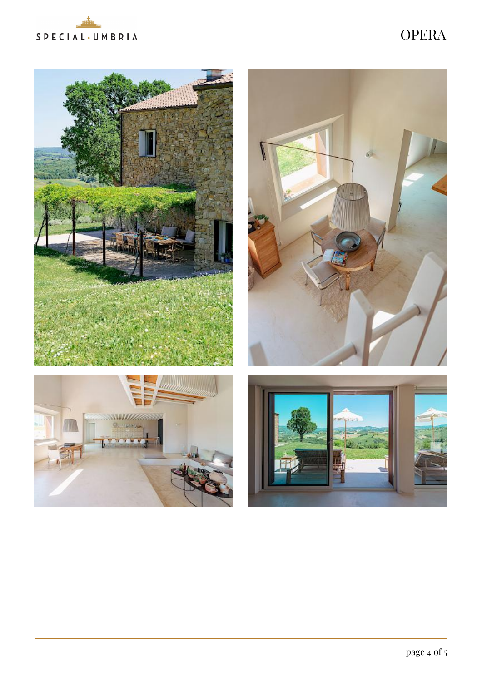# SPECIAL - UMBRIA

## OPERA